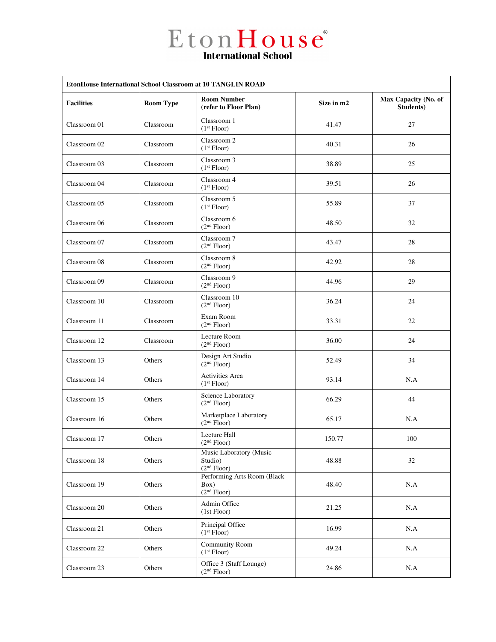$E$  to  $n$   $H$  ouse  $e^e$ 

| EtonHouse International School Classroom at 10 TANGLIN ROAD |                  |                                                                |            |                                   |  |  |  |
|-------------------------------------------------------------|------------------|----------------------------------------------------------------|------------|-----------------------------------|--|--|--|
| <b>Facilities</b>                                           | <b>Room Type</b> | <b>Room Number</b><br>(refer to Floor Plan)                    | Size in m2 | Max Capacity (No. of<br>Students) |  |  |  |
| Classroom 01                                                | Classroom        | Classroom 1<br>(1 <sup>st</sup> Floor)                         | 41.47      | 27                                |  |  |  |
| Classroom 02                                                | Classroom        | Classroom 2<br>(1 <sup>st</sup> Floor)                         | 40.31      | 26                                |  |  |  |
| Classroom 03                                                | Classroom        | Classroom 3<br>(1 <sup>st</sup> Floor)                         | 38.89      | 25                                |  |  |  |
| Classroom 04                                                | Classroom        | Classroom 4<br>(1 <sup>st</sup> Floor)                         | 39.51      | 26                                |  |  |  |
| Classroom 05                                                | Classroom        | Classroom 5<br>(1 <sup>st</sup> Floor)                         | 55.89      | 37                                |  |  |  |
| Classroom 06                                                | Classroom        | Classroom 6<br>(2 <sup>nd</sup> Floor)                         | 48.50      | 32                                |  |  |  |
| Classroom 07                                                | Classroom        | Classroom 7<br>(2 <sup>nd</sup> Floor)                         | 43.47      | 28                                |  |  |  |
| Classroom 08                                                | Classroom        | Classroom 8<br>(2 <sup>nd</sup> Floor)                         | 42.92      | 28                                |  |  |  |
| Classroom 09                                                | Classroom        | Classroom 9<br>(2 <sup>nd</sup> Floor)                         | 44.96      | 29                                |  |  |  |
| Classroom 10                                                | Classroom        | Classroom 10<br>(2 <sup>nd</sup> Floor)                        | 36.24      | 24                                |  |  |  |
| Classroom 11                                                | Classroom        | Exam Room<br>(2 <sup>nd</sup> Floor)                           | 33.31      | 22                                |  |  |  |
| Classroom 12                                                | Classroom        | Lecture Room<br>(2 <sup>nd</sup> Floor)                        | 36.00      | 24                                |  |  |  |
| Classroom 13                                                | Others           | Design Art Studio<br>(2 <sup>nd</sup> Floor)                   | 52.49      | 34                                |  |  |  |
| Classroom 14                                                | Others           | Activities Area<br>(1 <sup>st</sup> Floor)                     | 93.14      | N.A                               |  |  |  |
| Classroom 15                                                | Others           | Science Laboratory<br>(2 <sup>nd</sup> Floor)                  | 66.29      | 44                                |  |  |  |
| Classroom 16                                                | Others           | Marketplace Laboratory<br>(2 <sup>nd</sup> Floor)              | 65.17      | N.A                               |  |  |  |
| Classroom 17                                                | Others           | Lecture Hall<br>(2 <sup>na</sup> Floor)                        | 150.77     | 100                               |  |  |  |
| Classroom 18                                                | Others           | Music Laboratory (Music<br>Studio)<br>(2 <sup>nd</sup> Floor)  | 48.88      | 32                                |  |  |  |
| Classroom 19                                                | Others           | Performing Arts Room (Black<br>Box)<br>(2 <sup>nd</sup> Floor) | 48.40      | N.A                               |  |  |  |
| Classroom 20                                                | Others           | Admin Office<br>(1st Floor)                                    | 21.25      | N.A                               |  |  |  |
| Classroom 21                                                | Others           | Principal Office<br>(1 <sup>st</sup> Floor)                    | 16.99      | N.A                               |  |  |  |
| Classroom 22                                                | Others           | <b>Community Room</b><br>(1 <sup>st</sup> Floor)               | 49.24      | N.A                               |  |  |  |
| Classroom 23                                                | Others           | Office 3 (Staff Lounge)<br>(2 <sup>nd</sup> Floor)             | 24.86      | N.A                               |  |  |  |